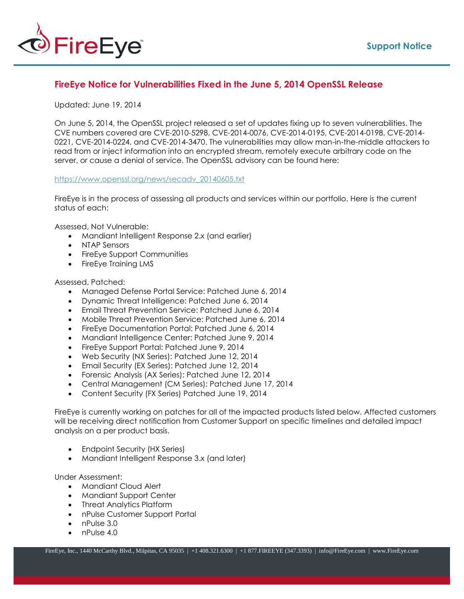

## **FireEye Notice for Vulnerabilities Fixed in the June 5, 2014 OpenSSL Release**

## Updated: June 19, 2014

On June 5, 2014, the OpenSSL project released a set of updates fixing up to seven vulnerabilities. The CVE numbers covered are CVE-2010-5298, CVE-2014-0076, CVE-2014-0195, CVE-2014-0198, CVE-2014- 0221, CVE-2014-0224, and CVE-2014-3470. The vulnerabilities may allow man-in-the-middle attackers to read from or inject information into an encrypted stream, remotely execute arbitrary code on the server, or cause a denial of service. The OpenSSL advisory can be found here:

## [https://www.openssl.org/news/secadv\\_20140605.txt](https://www.openssl.org/news/secadv_20140605.txt)

FireEye is in the process of assessing all products and services within our portfolio. Here is the current status of each:

Assessed, Not Vulnerable:

- Mandiant Intelligent Response 2.x (and earlier)
- NTAP Sensors
- FireEye Support Communities
- FireEye Training LMS

## Assessed, Patched:

- Managed Defense Portal Service: Patched June 6, 2014
- Dynamic Threat Intelligence: Patched June 6, 2014
- Email Threat Prevention Service: Patched June 6, 2014
- Mobile Threat Prevention Service: Patched June 6, 2014
- FireEye Documentation Portal: Patched June 6, 2014
- Mandiant Intelligence Center: Patched June 9, 2014
- FireEye Support Portal: Patched June 9, 2014
- Web Security (NX Series): Patched June 12, 2014
- **Email Security (EX Series): Patched June 12, 2014**
- Forensic Analysis (AX Series): Patched June 12, 2014
- Central Management (CM Series): Patched June 17, 2014
- Content Security (FX Series) Patched June 19, 2014

FireEye is currently working on patches for all of the impacted products listed below. Affected customers will be receiving direct notification from Customer Support on specific timelines and detailed impact analysis on a per product basis.

- Endpoint Security (HX Series)
- Mandiant Intelligent Response 3.x (and later)

Under Assessment:

- Mandiant Cloud Alert
- Mandiant Support Center
- Threat Analytics Platform
- nPulse Customer Support Portal
- nPulse 3.0
- nPulse 4.0